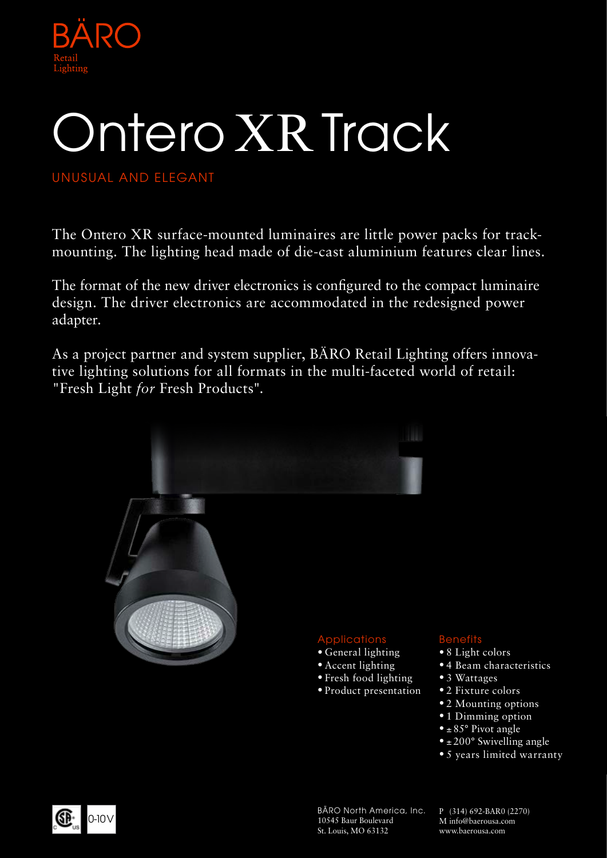

# Ontero XR Track

UNUSUAL AND ELEGANT

The Ontero XR surface-mounted luminaires are little power packs for trackmounting. The lighting head made of die-cast aluminium features clear lines.

The format of the new driver electronics is configured to the compact luminaire design. The driver electronics are accommodated in the redesigned power adapter.

As a project partner and system supplier, BÄRO Retail Lighting offers innovative lighting solutions for all formats in the multi-faceted world of retail: "Fresh Light *for* Fresh Products".



10545 Baur Boulevard St. Louis, MO 63132

P (314) 692-BAR0 (2270) M info@baerousa.com www.baerousa.com